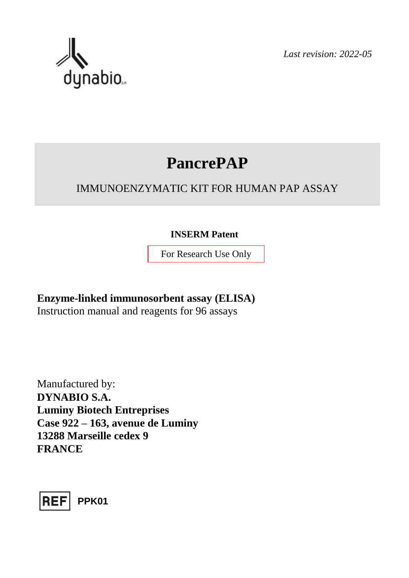

*Last revision: 2022-05*

# **PancrePAP**

# IMMUNOENZYMATIC KIT FOR HUMAN PAP ASSAY

## **INSERM Patent**

For Research Use Only

**Enzyme-linked immunosorbent assay (ELISA)** Instruction manual and reagents for 96 assays

Manufactured by: **DYNABIO S.A. Luminy Biotech Entreprises Case 922 – 163, avenue de Luminy 13288 Marseille cedex 9 FRANCE**

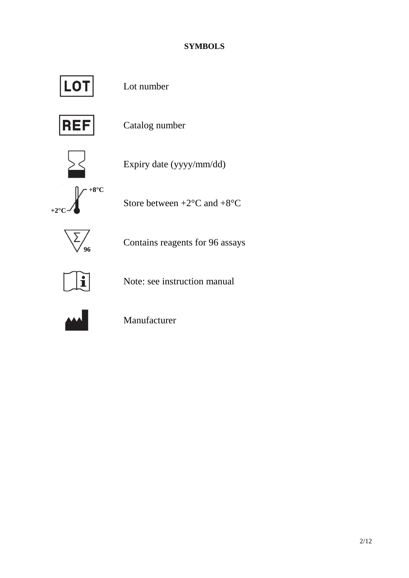## **SYMBOLS**



Lot number



Catalog number



Expiry date (yyyy/mm/dd)

**+8°C +2°C**

Store between  $+2$ <sup>o</sup>C and  $+8$ <sup>o</sup>C



Contains reagents for 96 assays



Note: see instruction manual



Manufacturer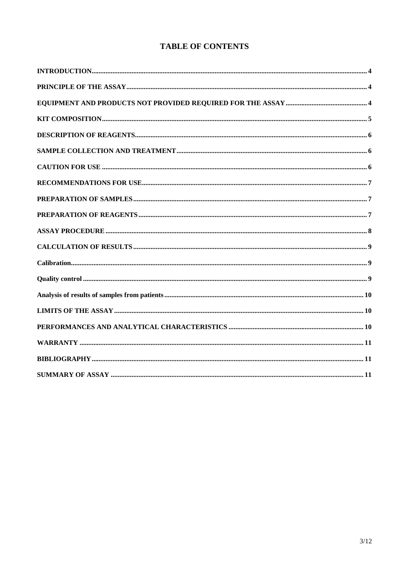|  | <b>TABLE OF CONTENTS</b> |
|--|--------------------------|
|--|--------------------------|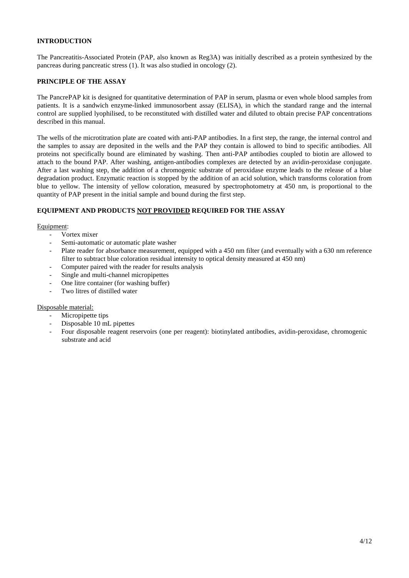#### <span id="page-3-0"></span>**INTRODUCTION**

The Pancreatitis-Associated Protein (PAP, also known as Reg3A) was initially described as a protein synthesized by the pancreas during pancreatic stress (1). It was also studied in oncology (2).

#### <span id="page-3-1"></span>**PRINCIPLE OF THE ASSAY**

The PancrePAP kit is designed for quantitative determination of PAP in serum, plasma or even whole blood samples from patients. It is a sandwich enzyme-linked immunosorbent assay (ELISA), in which the standard range and the internal control are supplied lyophilised, to be reconstituted with distilled water and diluted to obtain precise PAP concentrations described in this manual.

The wells of the microtitration plate are coated with anti-PAP antibodies. In a first step, the range, the internal control and the samples to assay are deposited in the wells and the PAP they contain is allowed to bind to specific antibodies. All proteins not specifically bound are eliminated by washing. Then anti-PAP antibodies coupled to biotin are allowed to attach to the bound PAP. After washing, antigen-antibodies complexes are detected by an avidin-peroxidase conjugate. After a last washing step, the addition of a chromogenic substrate of peroxidase enzyme leads to the release of a blue degradation product. Enzymatic reaction is stopped by the addition of an acid solution, which transforms coloration from blue to yellow. The intensity of yellow coloration, measured by spectrophotometry at 450 nm, is proportional to the quantity of PAP present in the initial sample and bound during the first step.

#### <span id="page-3-2"></span>**EQUIPMENT AND PRODUCTS NOT PROVIDED REQUIRED FOR THE ASSAY**

#### Equipment:

- Vortex mixer
- Semi-automatic or automatic plate washer
- Plate reader for absorbance measurement, equipped with a 450 nm filter (and eventually with a 630 nm reference filter to subtract blue coloration residual intensity to optical density measured at 450 nm)
- Computer paired with the reader for results analysis
- Single and multi-channel micropipettes
- One litre container (for washing buffer)
- Two litres of distilled water

#### Disposable material:

- Micropipette tips
- Disposable 10 mL pipettes
- Four disposable reagent reservoirs (one per reagent): biotinylated antibodies, avidin-peroxidase, chromogenic substrate and acid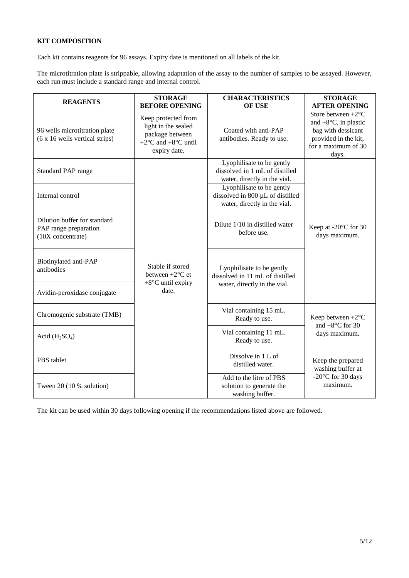#### <span id="page-4-0"></span>**KIT COMPOSITION**

Each kit contains reagents for 96 assays. Expiry date is mentioned on all labels of the kit.

The microtitration plate is strippable, allowing adaptation of the assay to the number of samples to be assayed. However, each run must include a standard range and internal control.

| <b>REAGENTS</b>                                                            | <b>STORAGE</b><br><b>BEFORE OPENING</b>                                                                                            | <b>CHARACTERISTICS</b><br>OF USE                                                              | <b>STORAGE</b><br><b>AFTER OPENING</b>                                                                                                     |
|----------------------------------------------------------------------------|------------------------------------------------------------------------------------------------------------------------------------|-----------------------------------------------------------------------------------------------|--------------------------------------------------------------------------------------------------------------------------------------------|
| 96 wells microtitration plate<br>(6 x 16 wells vertical strips)            | Keep protected from<br>light in the sealed<br>package between<br>+2 $\rm{^{\circ}C}$ and +8 $\rm{^{\circ}C}$ until<br>expiry date. | Coated with anti-PAP<br>antibodies. Ready to use.                                             | Store between $+2$ <sup>o</sup> C<br>and $+8$ °C, in plastic<br>bag with dessicant<br>provided in the kit,<br>for a maximum of 30<br>days. |
| Standard PAP range                                                         |                                                                                                                                    | Lyophilisate to be gently<br>dissolved in 1 mL of distilled<br>water, directly in the vial.   |                                                                                                                                            |
| Internal control                                                           |                                                                                                                                    | Lyophilisate to be gently<br>dissolved in 800 µL of distilled<br>water, directly in the vial. |                                                                                                                                            |
| Dilution buffer for standard<br>PAP range preparation<br>(10X concentrate) |                                                                                                                                    | Dilute 1/10 in distilled water<br>before use.                                                 | Keep at $-20^{\circ}$ C for 30<br>days maximum.                                                                                            |
| Biotinylated anti-PAP<br>antibodies                                        | Stable if stored<br>between $+2$ <sup>o</sup> C et<br>$+8$ °C until expiry                                                         | Lyophilisate to be gently<br>dissolved in 11 mL of distilled<br>water, directly in the vial.  |                                                                                                                                            |
| Avidin-peroxidase conjugate                                                | date.                                                                                                                              |                                                                                               |                                                                                                                                            |
| Chromogenic substrate (TMB)                                                |                                                                                                                                    | Vial containing 15 mL.<br>Ready to use.                                                       | Keep between $+2$ <sup>o</sup> C<br>and $+8$ °C for 30                                                                                     |
| Acid $(H_2SO_4)$                                                           |                                                                                                                                    | Vial containing 11 mL.<br>Ready to use.                                                       | days maximum.                                                                                                                              |
| PBS tablet                                                                 |                                                                                                                                    | Dissolve in 1 L of<br>distilled water.                                                        | Keep the prepared<br>washing buffer at                                                                                                     |
| Tween 20 (10 % solution)                                                   |                                                                                                                                    | Add to the litre of PBS<br>solution to generate the<br>washing buffer.                        | -20°C for 30 days<br>maximum.                                                                                                              |

The kit can be used within 30 days following opening if the recommendations listed above are followed.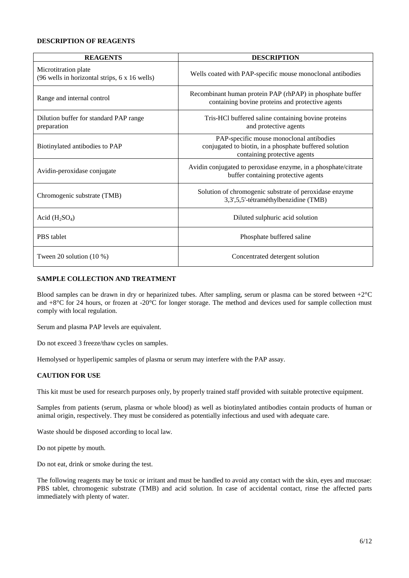#### <span id="page-5-0"></span>**DESCRIPTION OF REAGENTS**

| <b>REAGENTS</b>                                                       | <b>DESCRIPTION</b>                                                                                                                 |  |
|-----------------------------------------------------------------------|------------------------------------------------------------------------------------------------------------------------------------|--|
| Microtitration plate<br>(96 wells in horizontal strips, 6 x 16 wells) | Wells coated with PAP-specific mouse monoclonal antibodies                                                                         |  |
| Range and internal control                                            | Recombinant human protein PAP (rhPAP) in phosphate buffer<br>containing bovine proteins and protective agents                      |  |
| Dilution buffer for standard PAP range<br>preparation                 | Tris-HCl buffered saline containing bovine proteins<br>and protective agents                                                       |  |
| Biotinylated antibodies to PAP                                        | PAP-specific mouse monoclonal antibodies<br>conjugated to biotin, in a phosphate buffered solution<br>containing protective agents |  |
| Avidin-peroxidase conjugate                                           | Avidin conjugated to peroxidase enzyme, in a phosphate/citrate<br>buffer containing protective agents                              |  |
| Chromogenic substrate (TMB)                                           | Solution of chromogenic substrate of peroxidase enzyme<br>3,3',5,5'-tétraméthylbenzidine (TMB)                                     |  |
| Acid $(H_2SO_4)$                                                      | Diluted sulphuric acid solution                                                                                                    |  |
| PBS tablet                                                            | Phosphate buffered saline                                                                                                          |  |
| Tween 20 solution $(10\%)$                                            | Concentrated detergent solution                                                                                                    |  |

#### <span id="page-5-1"></span>**SAMPLE COLLECTION AND TREATMENT**

Blood samples can be drawn in dry or heparinized tubes. After sampling, serum or plasma can be stored between  $+2^{\circ}C$ and +8°C for 24 hours, or frozen at -20°C for longer storage. The method and devices used for sample collection must comply with local regulation.

Serum and plasma PAP levels are equivalent.

Do not exceed 3 freeze/thaw cycles on samples.

Hemolysed or hyperlipemic samples of plasma or serum may interfere with the PAP assay.

#### <span id="page-5-2"></span>**CAUTION FOR USE**

This kit must be used for research purposes only, by properly trained staff provided with suitable protective equipment.

Samples from patients (serum, plasma or whole blood) as well as biotinylated antibodies contain products of human or animal origin, respectively. They must be considered as potentially infectious and used with adequate care.

Waste should be disposed according to local law.

Do not pipette by mouth.

Do not eat, drink or smoke during the test.

The following reagents may be toxic or irritant and must be handled to avoid any contact with the skin, eyes and mucosae: PBS tablet, chromogenic substrate (TMB) and acid solution. In case of accidental contact, rinse the affected parts immediately with plenty of water.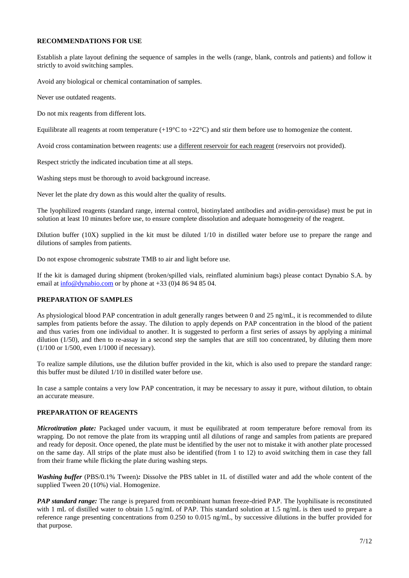#### <span id="page-6-0"></span>**RECOMMENDATIONS FOR USE**

Establish a plate layout defining the sequence of samples in the wells (range, blank, controls and patients) and follow it strictly to avoid switching samples.

Avoid any biological or chemical contamination of samples.

Never use outdated reagents.

Do not mix reagents from different lots.

Equilibrate all reagents at room temperature  $(+19^{\circ}C \text{ to } +22^{\circ}C)$  and stir them before use to homogenize the content.

Avoid cross contamination between reagents: use a different reservoir for each reagent (reservoirs not provided).

Respect strictly the indicated incubation time at all steps.

Washing steps must be thorough to avoid background increase.

Never let the plate dry down as this would alter the quality of results.

The lyophilized reagents (standard range, internal control, biotinylated antibodies and avidin-peroxidase) must be put in solution at least 10 minutes before use, to ensure complete dissolution and adequate homogeneity of the reagent.

Dilution buffer (10X) supplied in the kit must be diluted 1/10 in distilled water before use to prepare the range and dilutions of samples from patients.

Do not expose chromogenic substrate TMB to air and light before use.

If the kit is damaged during shipment (broken/spilled vials, reinflated aluminium bags) please contact Dynabio S.A. by email at [info@dynabio.com](mailto:info@dynabio.com) or by phone at  $+33$  (0)4 86 94 85 04.

#### <span id="page-6-1"></span>**PREPARATION OF SAMPLES**

As physiological blood PAP concentration in adult generally ranges between 0 and 25 ng/mL, it is recommended to dilute samples from patients before the assay. The dilution to apply depends on PAP concentration in the blood of the patient and thus varies from one individual to another. It is suggested to perform a first series of assays by applying a minimal dilution (1/50), and then to re-assay in a second step the samples that are still too concentrated, by diluting them more (1/100 or 1/500, even 1/1000 if necessary).

To realize sample dilutions, use the dilution buffer provided in the kit, which is also used to prepare the standard range: this buffer must be diluted 1/10 in distilled water before use.

In case a sample contains a very low PAP concentration, it may be necessary to assay it pure, without dilution, to obtain an accurate measure.

#### <span id="page-6-2"></span>**PREPARATION OF REAGENTS**

*Microtitration plate:* Packaged under vacuum, it must be equilibrated at room temperature before removal from its wrapping. Do not remove the plate from its wrapping until all dilutions of range and samples from patients are prepared and ready for deposit. Once opened, the plate must be identified by the user not to mistake it with another plate processed on the same day. All strips of the plate must also be identified (from 1 to 12) to avoid switching them in case they fall from their frame while flicking the plate during washing steps.

*Washing buffer* (PBS/0.1% Tween)*:* Dissolve the PBS tablet in 1L of distilled water and add the whole content of the supplied Tween 20 (10%) vial. Homogenize.

*PAP standard range:* The range is prepared from recombinant human freeze-dried PAP. The lyophilisate is reconstituted with 1 mL of distilled water to obtain 1.5 ng/mL of PAP. This standard solution at 1.5 ng/mL is then used to prepare a reference range presenting concentrations from 0.250 to 0.015 ng/mL, by successive dilutions in the buffer provided for that purpose.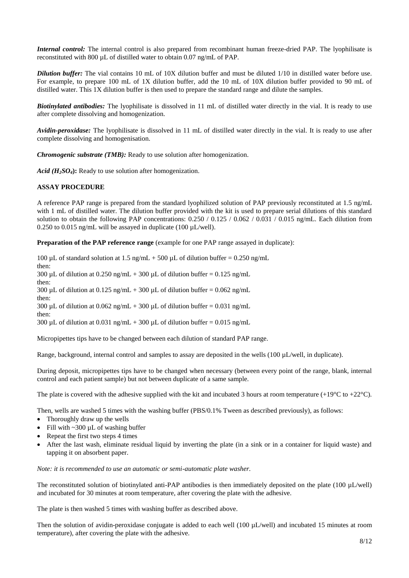*Internal control:* The internal control is also prepared from recombinant human freeze-dried PAP. The lyophilisate is reconstituted with 800 µL of distilled water to obtain 0.07 ng/mL of PAP.

*Dilution buffer:* The vial contains 10 mL of 10X dilution buffer and must be diluted 1/10 in distilled water before use. For example, to prepare 100 mL of 1X dilution buffer, add the 10 mL of 10X dilution buffer provided to 90 mL of distilled water. This 1X dilution buffer is then used to prepare the standard range and dilute the samples.

*Biotinylated antibodies:* The lyophilisate is dissolved in 11 mL of distilled water directly in the vial. It is ready to use after complete dissolving and homogenization.

*Avidin-peroxidase:* The lyophilisate is dissolved in 11 mL of distilled water directly in the vial. It is ready to use after complete dissolving and homogenisation.

*Chromogenic substrate (TMB):* Ready to use solution after homogenization.

*Acid (H2SO4***):** Ready to use solution after homogenization.

#### <span id="page-7-0"></span>**ASSAY PROCEDURE**

A reference PAP range is prepared from the standard lyophilized solution of PAP previously reconstituted at 1.5 ng/mL with 1 mL of distilled water. The dilution buffer provided with the kit is used to prepare serial dilutions of this standard solution to obtain the following PAP concentrations:  $0.250 / 0.125 / 0.062 / 0.031 / 0.015$  ng/mL. Each dilution from 0.250 to 0.015 ng/mL will be assayed in duplicate (100 µL/well).

**Preparation of the PAP reference range** (example for one PAP range assayed in duplicate):

100 µL of standard solution at 1.5 ng/mL + 500 µL of dilution buffer = 0.250 ng/mL then: 300 µL of dilution at  $0.250$  ng/mL + 300 µL of dilution buffer =  $0.125$  ng/mL then: 300 µL of dilution at 0.125 ng/mL + 300 µL of dilution buffer = 0.062 ng/mL then: 300 µL of dilution at 0.062 ng/mL + 300 µL of dilution buffer = 0.031 ng/mL then: 300 µL of dilution at 0.031 ng/mL + 300 µL of dilution buffer = 0.015 ng/mL

Micropipettes tips have to be changed between each dilution of standard PAP range.

Range, background, internal control and samples to assay are deposited in the wells (100 µL/well, in duplicate).

During deposit, micropipettes tips have to be changed when necessary (between every point of the range, blank, internal control and each patient sample) but not between duplicate of a same sample.

The plate is covered with the adhesive supplied with the kit and incubated 3 hours at room temperature  $(+19^{\circ}C \text{ to } +22^{\circ}C)$ .

Then, wells are washed 5 times with the washing buffer (PBS/0.1% Tween as described previously), as follows:

- Thoroughly draw up the wells
- Fill with  $\sim$ 300 µL of washing buffer
- Repeat the first two steps 4 times
- After the last wash, eliminate residual liquid by inverting the plate (in a sink or in a container for liquid waste) and tapping it on absorbent paper.

*Note: it is recommended to use an automatic or semi-automatic plate washer.*

The reconstituted solution of biotinylated anti-PAP antibodies is then immediately deposited on the plate (100 µL/well) and incubated for 30 minutes at room temperature, after covering the plate with the adhesive.

The plate is then washed 5 times with washing buffer as described above.

Then the solution of avidin-peroxidase conjugate is added to each well (100 µL/well) and incubated 15 minutes at room temperature), after covering the plate with the adhesive.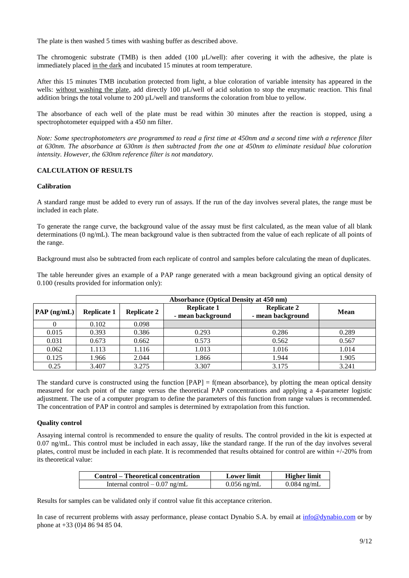The plate is then washed 5 times with washing buffer as described above.

The chromogenic substrate (TMB) is then added (100  $\mu$ L/well): after covering it with the adhesive, the plate is immediately placed in the dark and incubated 15 minutes at room temperature.

After this 15 minutes TMB incubation protected from light, a blue coloration of variable intensity has appeared in the wells: without washing the plate, add directly 100 µL/well of acid solution to stop the enzymatic reaction. This final addition brings the total volume to 200  $\mu$ L/well and transforms the coloration from blue to yellow.

The absorbance of each well of the plate must be read within 30 minutes after the reaction is stopped, using a spectrophotometer equipped with a 450 nm filter.

*Note: Some spectrophotometers are programmed to read a first time at 450nm and a second time with a reference filter at 630nm. The absorbance at 630nm is then subtracted from the one at 450nm to eliminate residual blue coloration intensity. However, the 630nm reference filter is not mandatory.*

#### <span id="page-8-0"></span>**CALCULATION OF RESULTS**

#### <span id="page-8-1"></span>**Calibration**

A standard range must be added to every run of assays. If the run of the day involves several plates, the range must be included in each plate.

To generate the range curve, the background value of the assay must be first calculated, as the mean value of all blank determinations (0 ng/mL). The mean background value is then subtracted from the value of each replicate of all points of the range.

Background must also be subtracted from each replicate of control and samples before calculating the mean of duplicates.

The table hereunder gives an example of a PAP range generated with a mean background giving an optical density of 0.100 (results provided for information only):

|                        | <b>Absorbance (Optical Density at 450 nm)</b> |                    |                                         |                                         |             |
|------------------------|-----------------------------------------------|--------------------|-----------------------------------------|-----------------------------------------|-------------|
| $\mathbf{PAP}$ (ng/mL) | <b>Replicate 1</b>                            | <b>Replicate 2</b> | <b>Replicate 1</b><br>- mean background | <b>Replicate 2</b><br>- mean background | <b>Mean</b> |
|                        | 0.102                                         | 0.098              |                                         |                                         |             |
| 0.015                  | 0.393                                         | 0.386              | 0.293                                   | 0.286                                   | 0.289       |
| 0.031                  | 0.673                                         | 0.662              | 0.573                                   | 0.562                                   | 0.567       |
| 0.062                  | 1.113                                         | 1.116              | 1.013                                   | 1.016                                   | 1.014       |
| 0.125                  | 1.966                                         | 2.044              | 1.866                                   | 1.944                                   | 1.905       |
| 0.25                   | 3.407                                         | 3.275              | 3.307                                   | 3.175                                   | 3.241       |

The standard curve is constructed using the function  $[PAP] = f$  (mean absorbance), by plotting the mean optical density measured for each point of the range versus the theoretical PAP concentrations and applying a 4-parameter logistic adjustment. The use of a computer program to define the parameters of this function from range values is recommended. The concentration of PAP in control and samples is determined by extrapolation from this function.

#### <span id="page-8-2"></span>**Quality control**

Assaying internal control is recommended to ensure the quality of results. The control provided in the kit is expected at 0.07 ng/mL. This control must be included in each assay, like the standard range. If the run of the day involves several plates, control must be included in each plate. It is recommended that results obtained for control are within +/-20% from its theoretical value:

| <b>Control</b> – Theoretical concentration | <b>Lower limit</b> | <b>Higher limit</b> |
|--------------------------------------------|--------------------|---------------------|
| Internal control $-0.07$ ng/mL             | $0.056$ ng/mL      | $0.084$ ng/mL       |

Results for samples can be validated only if control value fit this acceptance criterion.

In case of recurrent problems with assay performance, please contact Dynabio S.A. by email at [info@dynabio.com](mailto:info@dynabio.com) or by phone at +33 (0)4 86 94 85 04.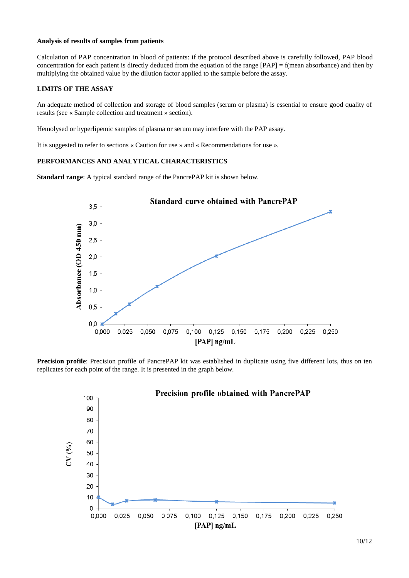#### <span id="page-9-0"></span>**Analysis of results of samples from patients**

Calculation of PAP concentration in blood of patients: if the protocol described above is carefully followed, PAP blood concentration for each patient is directly deduced from the equation of the range  $[PAP] = f$ (mean absorbance) and then by multiplying the obtained value by the dilution factor applied to the sample before the assay.

#### <span id="page-9-1"></span>**LIMITS OF THE ASSAY**

An adequate method of collection and storage of blood samples (serum or plasma) is essential to ensure good quality of results (see « Sample collection and treatment » section).

Hemolysed or hyperlipemic samples of plasma or serum may interfere with the PAP assay.

It is suggested to refer to sections « Caution for use » and « Recommendations for use ».

#### <span id="page-9-2"></span>**PERFORMANCES AND ANALYTICAL CHARACTERISTICS**

**Standard range**: A typical standard range of the PancrePAP kit is shown below.



**Precision profile**: Precision profile of PancrePAP kit was established in duplicate using five different lots, thus on ten replicates for each point of the range. It is presented in the graph below.

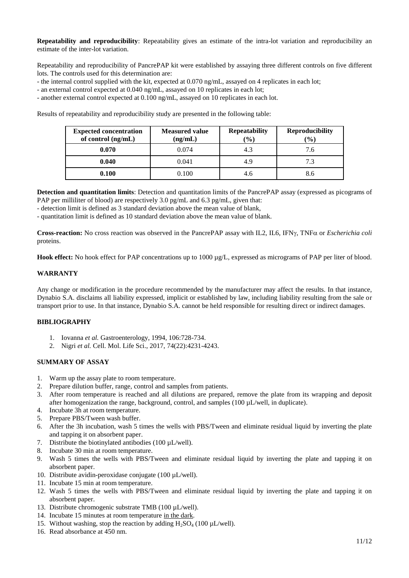**Repeatability and reproducibility**: Repeatability gives an estimate of the intra-lot variation and reproducibility an estimate of the inter-lot variation.

Repeatability and reproducibility of PancrePAP kit were established by assaying three different controls on five different lots. The controls used for this determination are:

- the internal control supplied with the kit, expected at 0.070 ng/mL, assayed on 4 replicates in each lot;
- an external control expected at 0.040 ng/mL, assayed on 10 replicates in each lot;
- another external control expected at 0.100 ng/mL, assayed on 10 replicates in each lot.

Results of repeatability and reproducibility study are presented in the following table:

| <b>Expected concentration</b><br>of control (ng/mL) | <b>Measured value</b><br>(ng/mL) | <b>Repeatability</b><br>$\frac{1}{2}$ ( $\frac{1}{2}$ ) | <b>Reproducibility</b><br>$\left( \frac{0}{0} \right)$ |
|-----------------------------------------------------|----------------------------------|---------------------------------------------------------|--------------------------------------------------------|
| 0.070                                               | 0.074                            | 4.3                                                     | 7.6                                                    |
| 0.040                                               | 0.041                            | 4.9                                                     | 7.3                                                    |
| 0.100                                               | 0.100                            |                                                         | 8.6                                                    |

**Detection and quantitation limits**: Detection and quantitation limits of the PancrePAP assay (expressed as picograms of PAP per milliliter of blood) are respectively  $3.0 \text{ pg/mL}$  and  $6.3 \text{ pg/mL}$ , given that:

- detection limit is defined as 3 standard deviation above the mean value of blank,

- quantitation limit is defined as 10 standard deviation above the mean value of blank.

**Cross-reaction:** No cross reaction was observed in the PancrePAP assay with IL2, IL6, IFNy, TNF $\alpha$  or *Escherichia coli* proteins.

**Hook effect:** No hook effect for PAP concentrations up to 1000 µg/L, expressed as micrograms of PAP per liter of blood.

#### <span id="page-10-0"></span>**WARRANTY**

Any change or modification in the procedure recommended by the manufacturer may affect the results. In that instance, Dynabio S.A. disclaims all liability expressed, implicit or established by law, including liability resulting from the sale or transport prior to use. In that instance, Dynabio S.A. cannot be held responsible for resulting direct or indirect damages.

#### <span id="page-10-1"></span>**BIBLIOGRAPHY**

- 1. Iovanna *et al.* Gastroenterology, 1994, 106:728-734.
- 2. Nigri *et al.* Cell. Mol. Life Sci., 2017, 74(22):4231-4243.

#### <span id="page-10-2"></span>**SUMMARY OF ASSAY**

- 1. Warm up the assay plate to room temperature.
- 2. Prepare dilution buffer, range, control and samples from patients.
- 3. After room temperature is reached and all dilutions are prepared, remove the plate from its wrapping and deposit after homogenization the range, background, control, and samples (100 µL/well, in duplicate).
- 4. Incubate 3h at room temperature.
- 5. Prepare PBS/Tween wash buffer.
- 6. After the 3h incubation, wash 5 times the wells with PBS/Tween and eliminate residual liquid by inverting the plate and tapping it on absorbent paper.
- 7. Distribute the biotinylated antibodies (100 µL/well).
- 8. Incubate 30 min at room temperature.
- 9. Wash 5 times the wells with PBS/Tween and eliminate residual liquid by inverting the plate and tapping it on absorbent paper.
- 10. Distribute avidin-peroxidase conjugate (100 µL/well).
- 11. Incubate 15 min at room temperature.
- 12. Wash 5 times the wells with PBS/Tween and eliminate residual liquid by inverting the plate and tapping it on absorbent paper.
- 13. Distribute chromogenic substrate TMB (100 µL/well).
- 14. Incubate 15 minutes at room temperature in the dark.
- 15. Without washing, stop the reaction by adding  $H_2SO_4$  (100 µL/well).
- 16. Read absorbance at 450 nm.